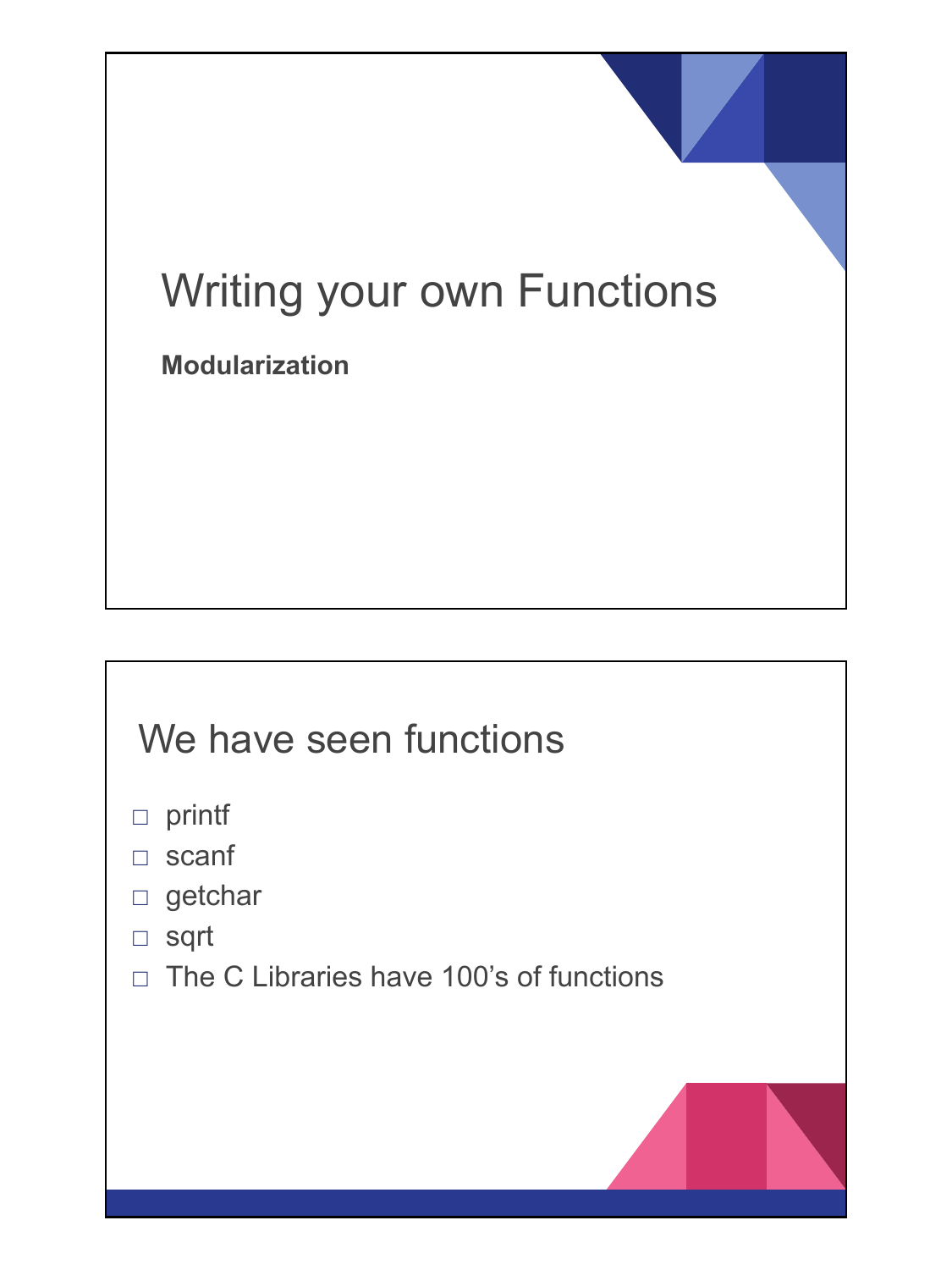# Writing your own Functions

**Modularization**

#### We have seen functions

- □ printf
- □ scanf
- □ getchar
- □ sqrt
- $\Box$  The C Libraries have 100's of functions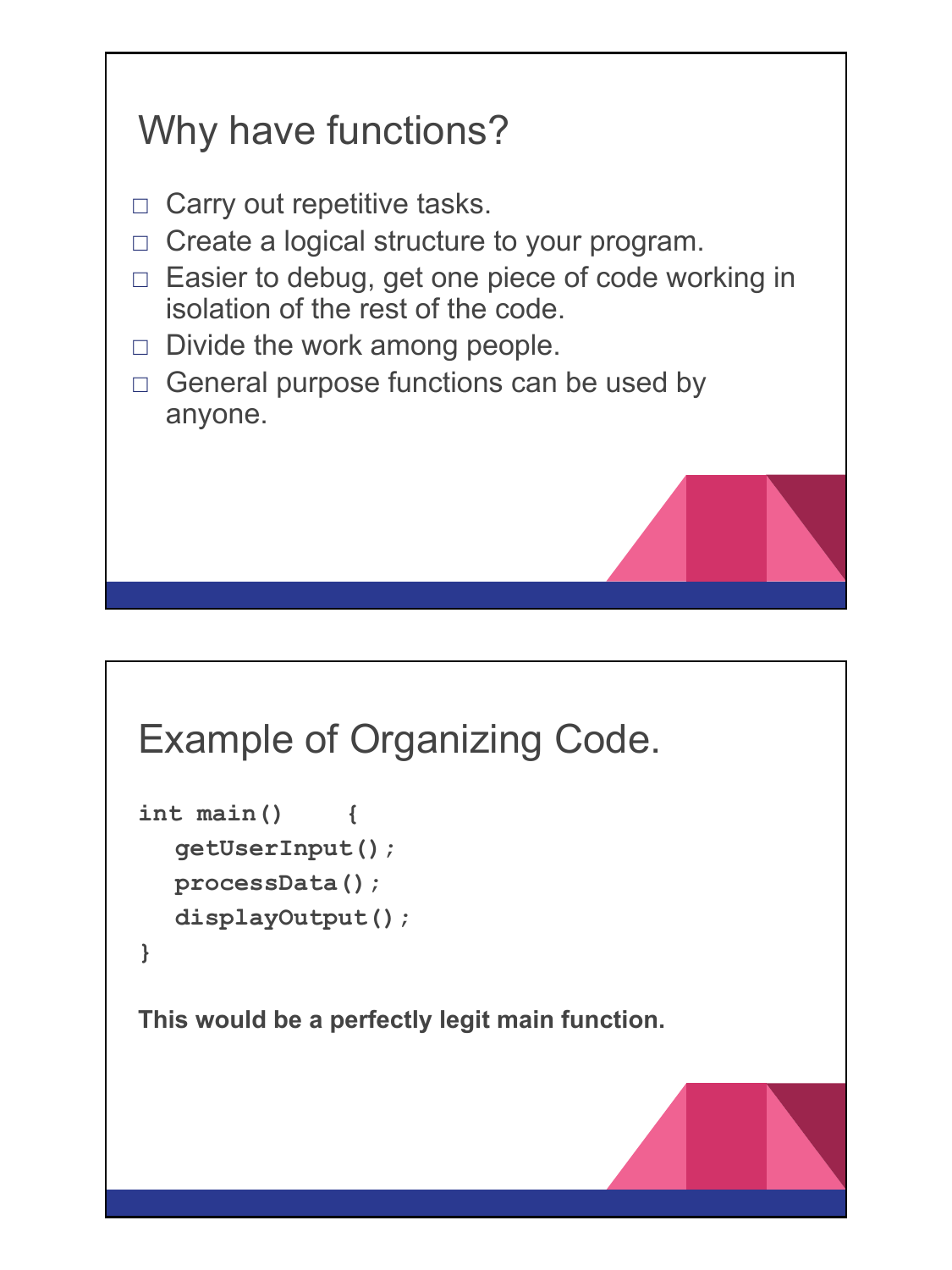## Why have functions?

- $\Box$  Carry out repetitive tasks.
- □ Create a logical structure to your program.
- □ Easier to debug, get one piece of code working in isolation of the rest of the code.
- $\Box$  Divide the work among people.
- $\Box$  General purpose functions can be used by anyone.

#### Example of Organizing Code.

```
int main() {
  getUserInput();
  processData();
  displayOutput();
}
```
**This would be a perfectly legit main function.**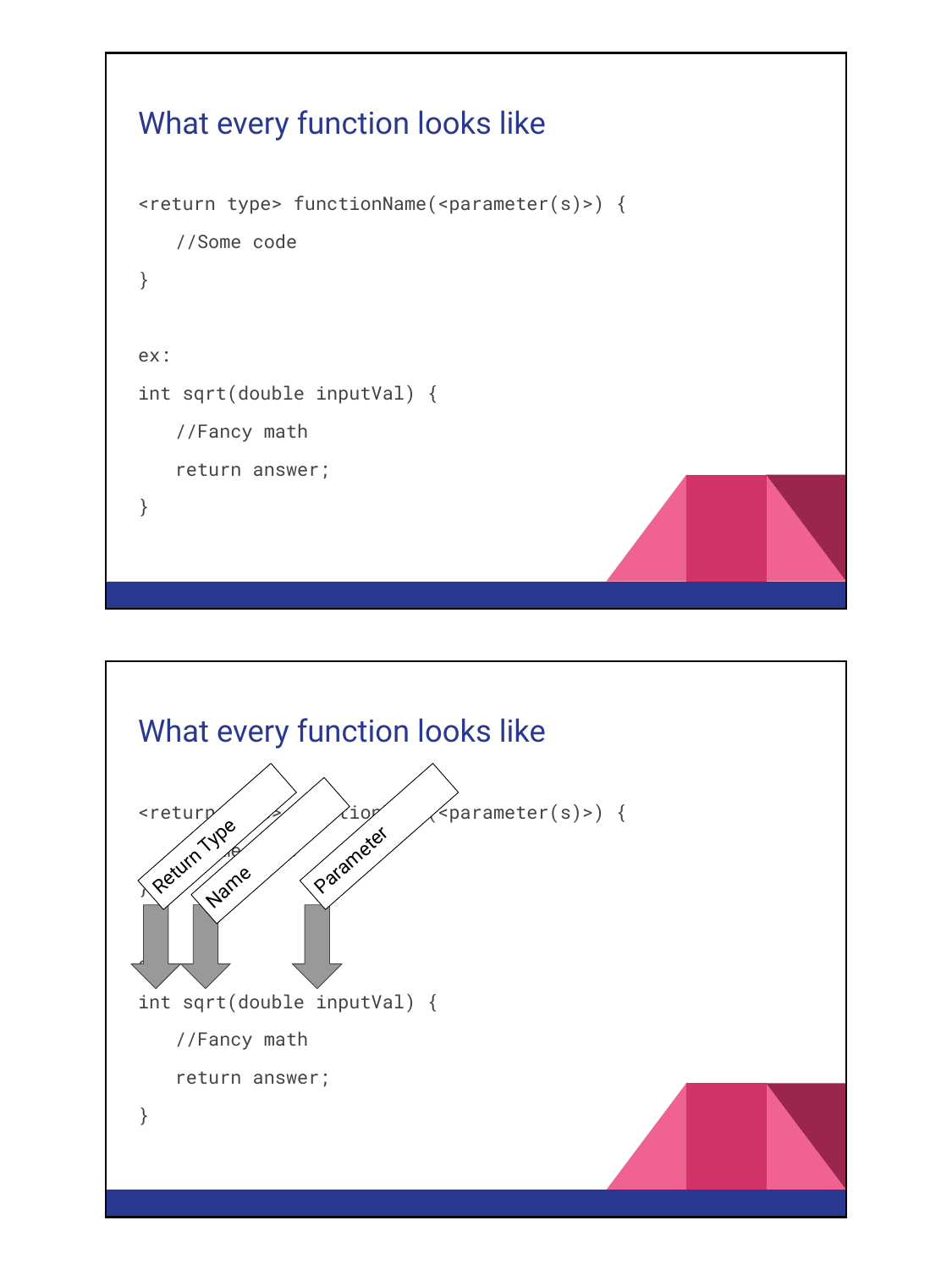```
What every function looks like
<return type> functionName(<parameter(s)>) {
   //Some code
}
ex:
int sqrt(double inputVal) {
   //Fancy math
   return answer;
}
```
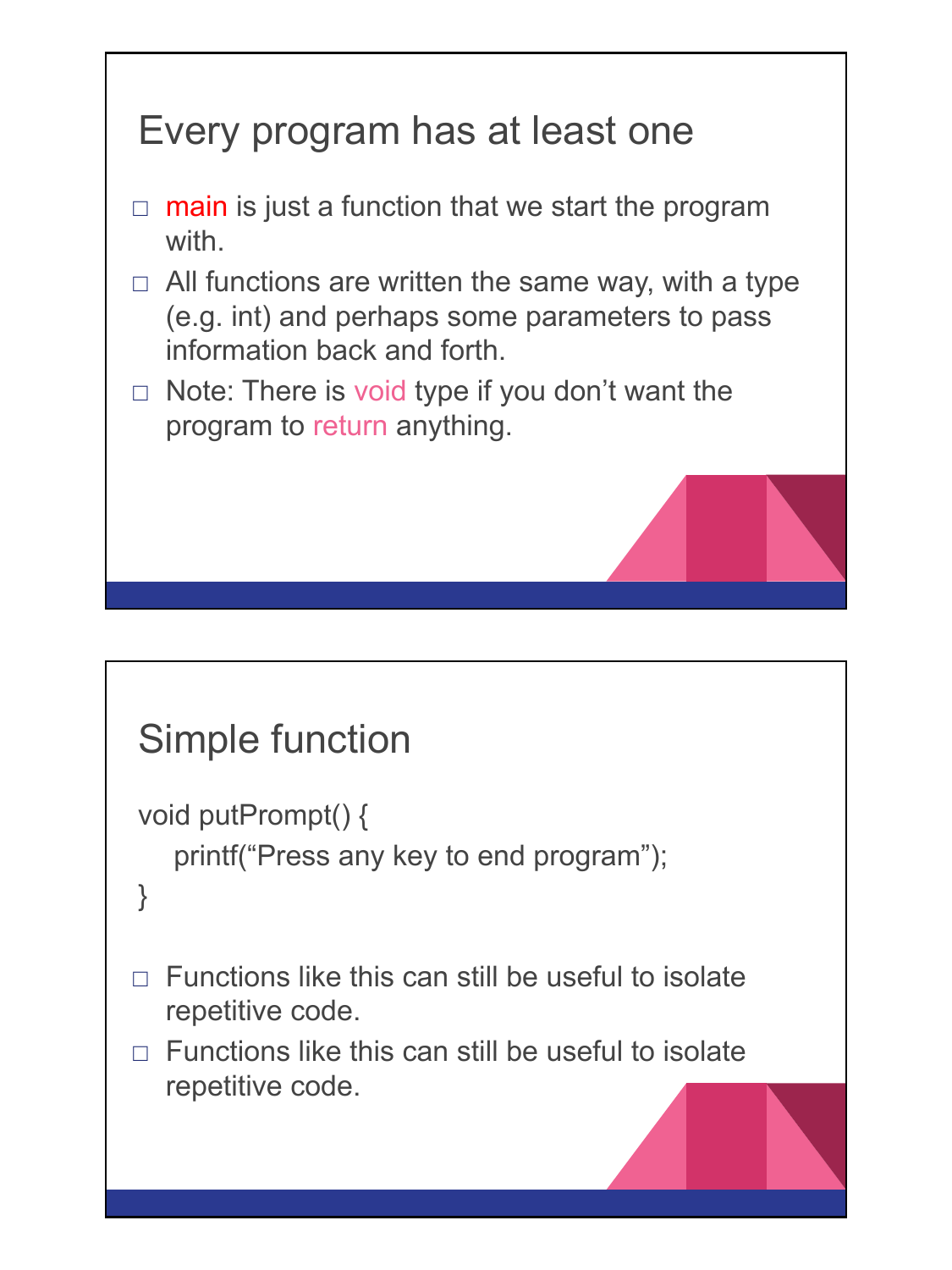### Every program has at least one

- $\Box$  main is just a function that we start the program with.
- $\Box$  All functions are written the same way, with a type (e.g. int) and perhaps some parameters to pass information back and forth.
- $\Box$  Note: There is void type if you don't want the program to return anything.

```
Simple function
void putPrompt() {
    printf("Press any key to end program");
}
\Box Functions like this can still be useful to isolate
  repetitive code. 
\neg Functions like this can still be useful to isolate
  repetitive code.
```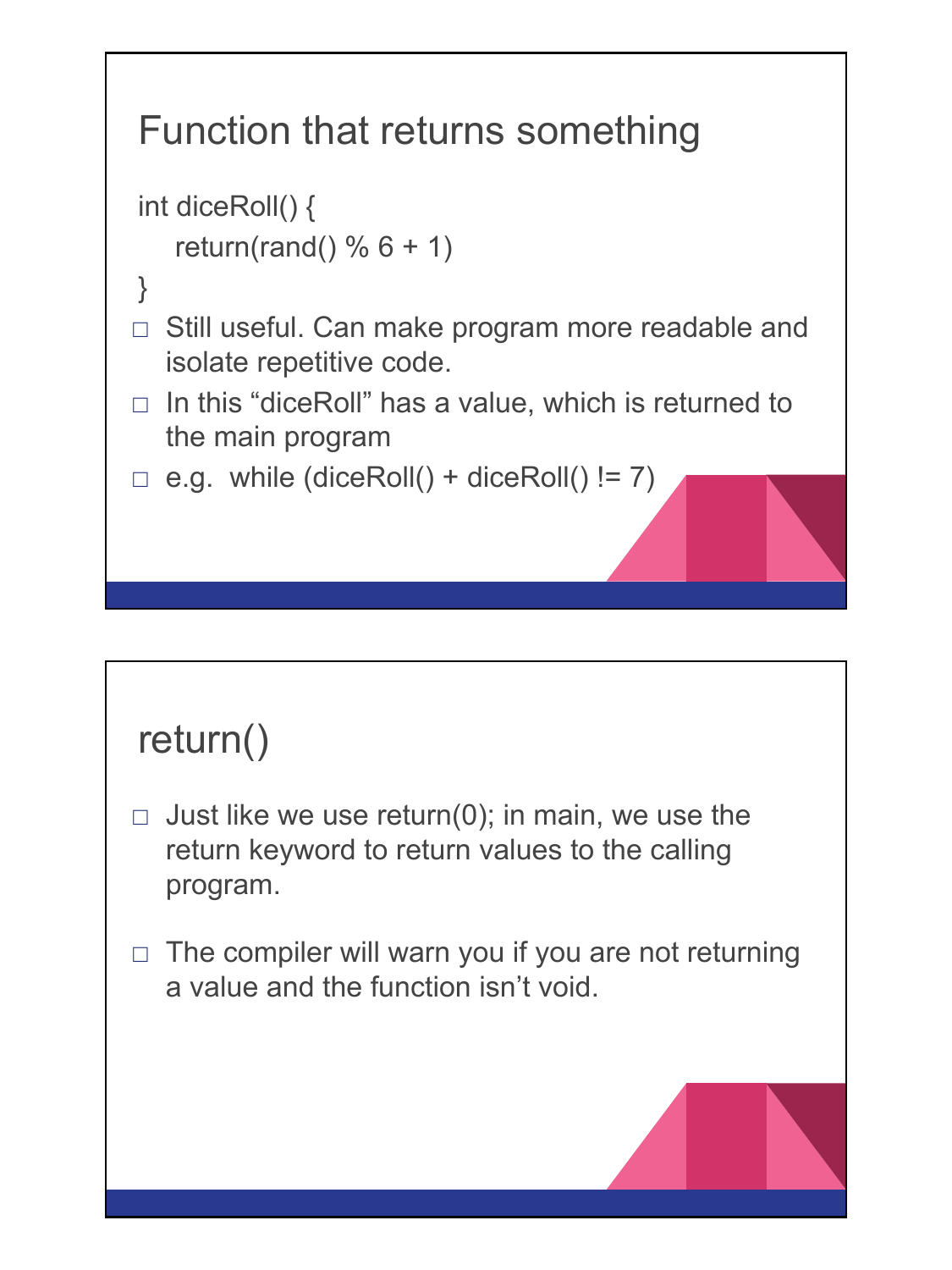# Function that returns something

```
int diceRoll() {
   return(rand() % 6 + 1)
}
\Box Still useful. Can make program more readable and
  isolate repetitive code. 
\Box In this "diceRoll" has a value, which is returned to
  the main program
\Box e.g. while (diceRoll() + diceRoll() != 7)
```
## return()

- $\Box$  Just like we use return(0); in main, we use the return keyword to return values to the calling program.
- $\Box$  The compiler will warn you if you are not returning a value and the function isn't void.